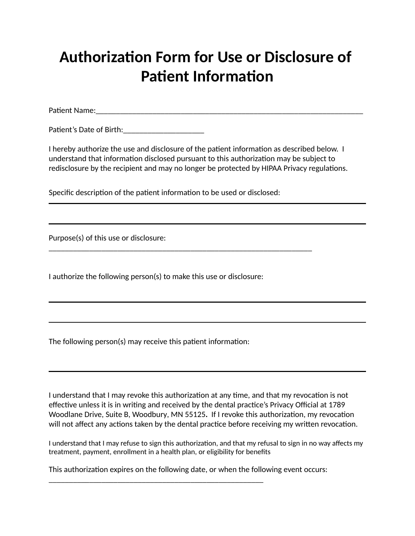## **Authorization Form for Use or Disclosure of Patient Information**

Paent Name:\_\_\_\_\_\_\_\_\_\_\_\_\_\_\_\_\_\_\_\_\_\_\_\_\_\_\_\_\_\_\_\_\_\_\_\_\_\_\_\_\_\_\_\_\_\_\_\_\_\_\_\_\_\_\_\_\_\_\_\_\_\_\_\_\_\_

Patient's Date of Birth:

I hereby authorize the use and disclosure of the patient information as described below. I understand that information disclosed pursuant to this authorization may be subject to redisclosure by the recipient and may no longer be protected by HIPAA Privacy regulations.

Specific description of the patient information to be used or disclosed:

\_\_\_\_\_\_\_\_\_\_\_\_\_\_\_\_\_\_\_\_\_\_\_\_\_\_\_\_\_\_\_\_\_\_\_\_\_\_\_\_\_\_\_\_\_\_\_\_\_\_\_\_\_\_\_\_\_\_\_\_\_\_\_\_\_

Purpose(s) of this use or disclosure:

I authorize the following person(s) to make this use or disclosure:

The following person(s) may receive this patient information:

I understand that I may revoke this authorization at any time, and that my revocation is not effective unless it is in writing and received by the dental practice's Privacy Official at 1789 Woodlane Drive, Suite B, Woodbury, MN 55125. If I revoke this authorization, my revocation will not affect any actions taken by the dental practice before receiving my written revocation.

I understand that I may refuse to sign this authorization, and that my refusal to sign in no way affects my treatment, payment, enrollment in a health plan, or eligibility for benefits

This authorization expires on the following date, or when the following event occurs:

\_\_\_\_\_\_\_\_\_\_\_\_\_\_\_\_\_\_\_\_\_\_\_\_\_\_\_\_\_\_\_\_\_\_\_\_\_\_\_\_\_\_\_\_\_\_\_\_\_\_\_\_\_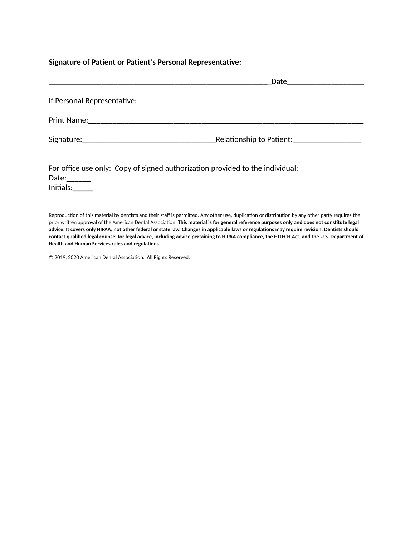#### Signature of Patient or Patient's Personal Representative:

|                             | _Date_________________________                    |
|-----------------------------|---------------------------------------------------|
| If Personal Representative: |                                                   |
|                             |                                                   |
|                             | Relationship to Patient: Relationship to Patient: |
|                             |                                                   |

| For office use only: Copy of signed authorization provided to the individual: |  |
|-------------------------------------------------------------------------------|--|
| Date:                                                                         |  |
| Initials:                                                                     |  |

Reproduction of this material by dentists and their staff is permitted. Any other use, duplication or distribution by any other party requires the prior written approval of the American Dental Association. This material is for general reference purposes only and does not constitute legal advice. It covers only HIPAA, not other federal or state law. Changes in applicable laws or regulations may require revision. Dentists should contact qualified legal counsel for legal advice, including advice pertaining to HIPAA compliance, the HITECH Act, and the U.S. Department of **Health** and Human Services rules and regulations.

© 2019, 2020 American Dental Association. All Rights Reserved.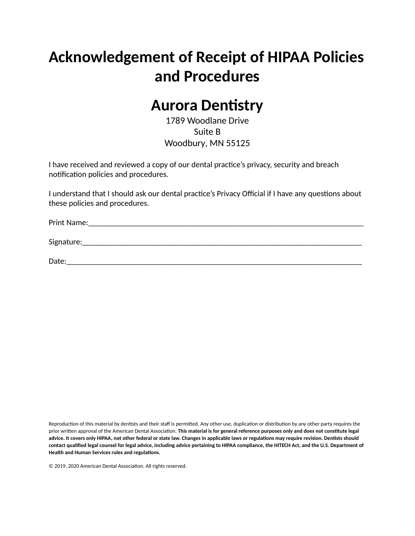# **Acknowledgement of Receipt of HIPAA Policies and Procedures**

### **Aurora Dentistry**

1789 Woodlane Drive Suite B Woodbury, MN 55125

I have received and reviewed a copy of our dental practice's privacy, security and breach notification policies and procedures.

I understand that I should ask our dental practice's Privacy Official if I have any questions about these policies and procedures.

Print Name:\_\_\_\_\_\_\_\_\_\_\_\_\_\_\_\_\_\_\_\_\_\_\_\_\_\_\_\_\_\_\_\_\_\_\_\_\_\_\_\_\_\_\_\_\_\_\_\_\_\_\_\_\_\_\_\_\_\_\_\_\_\_\_\_\_\_\_\_

Signature:\_\_\_\_\_\_\_\_\_\_\_\_\_\_\_\_\_\_\_\_\_\_\_\_\_\_\_\_\_\_\_\_\_\_\_\_\_\_\_\_\_\_\_\_\_\_\_\_\_\_\_\_\_\_\_\_\_\_\_\_\_\_\_\_\_\_\_\_\_

 $Date:$ 

Reproduction of this material by dentists and their staff is permitted. Any other use, duplication or distribution by any other party requires the prior written approval of the American Dental Association. This material is for general reference purposes only and does not constitute legal advice. It covers only HIPAA, not other federal or state law. Changes in applicable laws or regulations may require revision. Dentists should contact qualified legal counsel for legal advice, including advice pertaining to HIPAA compliance, the HITECH Act, and the U.S. Department of **Health and Human Services rules and regulations.** 

© 2019, 2020 American Dental Association. All rights reserved.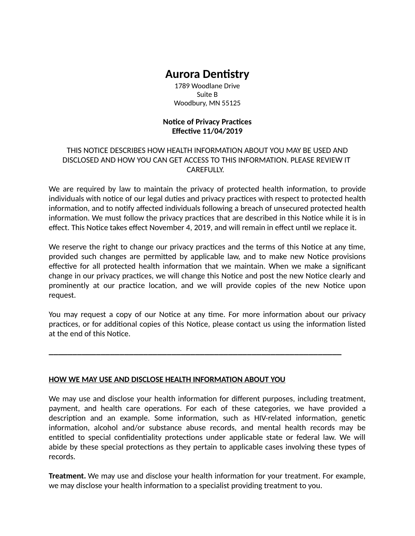### **Aurora Dentistry**

1789 Woodlane Drive Suite B Woodbury, MN 55125

#### **Notice of Privacy Practices Effective 11/04/2019**

#### THIS NOTICE DESCRIBES HOW HEALTH INFORMATION ABOUT YOU MAY BE USED AND DISCLOSED AND HOW YOU CAN GET ACCESS TO THIS INFORMATION. PLEASE REVIEW IT CAREFULLY.

We are required by law to maintain the privacy of protected health information, to provide individuals with notice of our legal duties and privacy practices with respect to protected health information, and to notify affected individuals following a breach of unsecured protected health information. We must follow the privacy practices that are described in this Notice while it is in effect. This Notice takes effect November 4, 2019, and will remain in effect until we replace it.

We reserve the right to change our privacy practices and the terms of this Notice at any time, provided such changes are permitted by applicable law, and to make new Notice provisions effective for all protected health information that we maintain. When we make a significant change in our privacy practices, we will change this Notice and post the new Notice clearly and prominently at our practice location, and we will provide copies of the new Notice upon request.

You may request a copy of our Notice at any time. For more information about our privacy practices, or for additional copies of this Notice, please contact us using the information listed at the end of this Notice.

**\_\_\_\_\_\_\_\_\_\_\_\_\_\_\_\_\_\_\_\_\_\_\_\_\_\_\_\_\_\_\_\_\_\_\_\_\_\_\_\_\_\_\_\_\_\_\_\_\_\_\_\_\_\_\_\_\_\_\_\_\_\_**

#### **HOW WE MAY USE AND DISCLOSE HEALTH INFORMATION ABOUT YOU**

We may use and disclose your health information for different purposes, including treatment, payment, and health care operations. For each of these categories, we have provided a description and an example. Some information, such as HIV-related information, genetic information, alcohol and/or substance abuse records, and mental health records may be entitled to special confidentiality protections under applicable state or federal law. We will abide by these special protections as they pertain to applicable cases involving these types of records.

**Treatment.** We may use and disclose your health information for your treatment. For example, we may disclose your health information to a specialist providing treatment to you.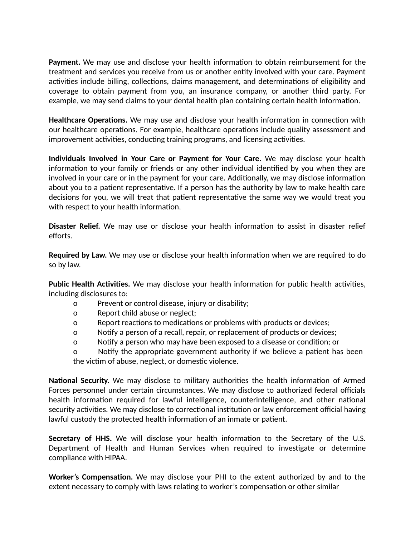**Payment.** We may use and disclose your health information to obtain reimbursement for the treatment and services you receive from us or another entity involved with your care. Payment activities include billing, collections, claims management, and determinations of eligibility and coverage to obtain payment from you, an insurance company, or another third party. For example, we may send claims to your dental health plan containing certain health information.

**Healthcare Operations.** We may use and disclose your health information in connection with our healthcare operations. For example, healthcare operations include quality assessment and improvement activities, conducting training programs, and licensing activities.

**Individuals Involved in Your Care or Payment for Your Care.** We may disclose your health information to your family or friends or any other individual identified by you when they are involved in your care or in the payment for your care. Additionally, we may disclose information about you to a patient representative. If a person has the authority by law to make health care decisions for you, we will treat that patient representative the same way we would treat you with respect to your health information.

**Disaster Relief.** We may use or disclose your health information to assist in disaster relief efforts.

**Required by Law.** We may use or disclose your health information when we are required to do so by law.

**Public Health Activities.** We may disclose your health information for public health activities, including disclosures to:

- o Prevent or control disease, injury or disability;
- o Report child abuse or neglect;
- o Report reactions to medications or problems with products or devices;
- o Nofy a person of a recall, repair, or replacement of products or devices;
- o Notify a person who may have been exposed to a disease or condition; or

o boly Notify the appropriate government authority if we believe a patient has been the victim of abuse, neglect, or domestic violence.

**National Security.** We may disclose to military authorities the health information of Armed Forces personnel under certain circumstances. We may disclose to authorized federal officials health information required for lawful intelligence, counterintelligence, and other national security activities. We may disclose to correctional institution or law enforcement official having lawful custody the protected health information of an inmate or patient.

**Secretary of HHS.** We will disclose your health information to the Secretary of the U.S. Department of Health and Human Services when required to investigate or determine compliance with HIPAA.

**Worker's Compensation.** We may disclose your PHI to the extent authorized by and to the extent necessary to comply with laws relating to worker's compensation or other similar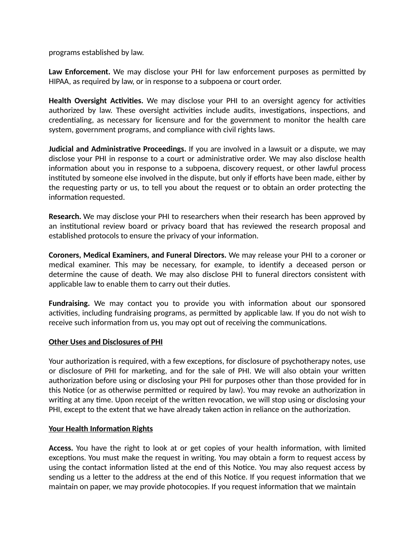programs established by law.

**Law Enforcement.** We may disclose your PHI for law enforcement purposes as permitted by HIPAA, as required by law, or in response to a subpoena or court order.

**Health Oversight Activities.** We may disclose your PHI to an oversight agency for activities authorized by law. These oversight activities include audits, investigations, inspections, and credentialing, as necessary for licensure and for the government to monitor the health care system, government programs, and compliance with civil rights laws.

**Judicial and Administrative Proceedings.** If you are involved in a lawsuit or a dispute, we may disclose your PHI in response to a court or administrative order. We may also disclose health information about you in response to a subpoena, discovery request, or other lawful process instituted by someone else involved in the dispute, but only if efforts have been made, either by the requesting party or us, to tell you about the request or to obtain an order protecting the information requested.

**Research.** We may disclose your PHI to researchers when their research has been approved by an institutional review board or privacy board that has reviewed the research proposal and established protocols to ensure the privacy of your information.

**Coroners, Medical Examiners, and Funeral Directors.** We may release your PHI to a coroner or medical examiner. This may be necessary, for example, to identify a deceased person or determine the cause of death. We may also disclose PHI to funeral directors consistent with applicable law to enable them to carry out their duties.

**Fundraising.** We may contact you to provide you with information about our sponsored activities, including fundraising programs, as permitted by applicable law. If you do not wish to receive such information from us, you may opt out of receiving the communications.

#### **Other Uses and Disclosures of PHI**

Your authorization is required, with a few exceptions, for disclosure of psychotherapy notes, use or disclosure of PHI for marketing, and for the sale of PHI. We will also obtain your written authorization before using or disclosing your PHI for purposes other than those provided for in this Notice (or as otherwise permitted or required by law). You may revoke an authorization in writing at any time. Upon receipt of the written revocation, we will stop using or disclosing your PHI, except to the extent that we have already taken action in reliance on the authorization.

#### **Your Health Information Rights**

**Access.** You have the right to look at or get copies of your health information, with limited exceptions. You must make the request in writing. You may obtain a form to request access by using the contact information listed at the end of this Notice. You may also request access by sending us a letter to the address at the end of this Notice. If you request information that we maintain on paper, we may provide photocopies. If you request information that we maintain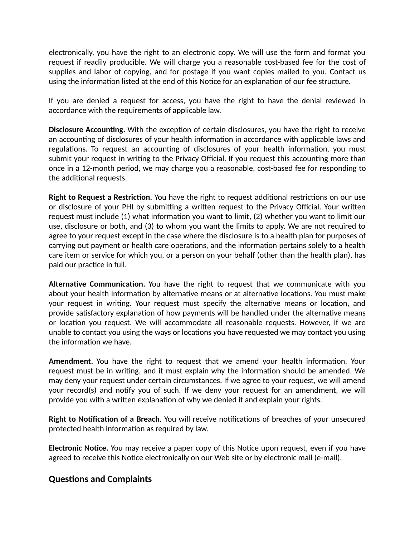electronically, you have the right to an electronic copy. We will use the form and format you request if readily producible. We will charge you a reasonable cost-based fee for the cost of supplies and labor of copying, and for postage if you want copies mailed to you. Contact us using the information listed at the end of this Notice for an explanation of our fee structure.

If you are denied a request for access, you have the right to have the denial reviewed in accordance with the requirements of applicable law.

**Disclosure Accounting.** With the exception of certain disclosures, you have the right to receive an accounting of disclosures of your health information in accordance with applicable laws and regulations. To request an accounting of disclosures of your health information, you must submit your request in writing to the Privacy Official. If you request this accounting more than once in a 12-month period, we may charge you a reasonable, cost-based fee for responding to the additional requests.

**Right to Request a Restriction.** You have the right to request additional restrictions on our use or disclosure of your PHI by submitting a written request to the Privacy Official. Your written request must include (1) what information you want to limit, (2) whether you want to limit our use, disclosure or both, and (3) to whom you want the limits to apply. We are not required to agree to your request except in the case where the disclosure is to a health plan for purposes of carrying out payment or health care operations, and the information pertains solely to a health care item or service for which you, or a person on your behalf (other than the health plan), has paid our practice in full.

**Alternative Communication.** You have the right to request that we communicate with you about your health information by alternative means or at alternative locations. You must make your request in writing. Your request must specify the alternative means or location, and provide satisfactory explanation of how payments will be handled under the alternative means or location you request. We will accommodate all reasonable requests. However, if we are unable to contact you using the ways or locations you have requested we may contact you using the information we have.

**Amendment.** You have the right to request that we amend your health information. Your request must be in writing, and it must explain why the information should be amended. We may deny your request under certain circumstances. If we agree to your request, we will amend your record(s) and notify you of such. If we deny your request for an amendment, we will provide you with a written explanation of why we denied it and explain your rights.

**Right to Notification of a Breach**. You will receive notifications of breaches of your unsecured protected health information as required by law.

**Electronic Notice.** You may receive a paper copy of this Notice upon request, even if you have agreed to receive this Notice electronically on our Web site or by electronic mail (e-mail).

#### **Questions and Complaints**